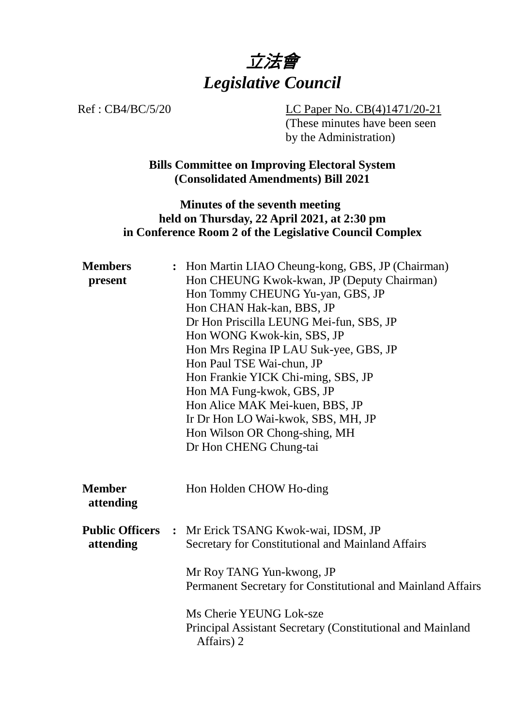

Ref : CB4/BC/5/20 LC Paper No. CB(4)1471/20-21 (These minutes have been seen by the Administration)

> **Bills Committee on Improving Electoral System (Consolidated Amendments) Bill 2021**

### **Minutes of the seventh meeting held on Thursday, 22 April 2021, at 2:30 pm in Conference Room 2 of the Legislative Council Complex**

| <b>Members</b><br>present           | : Hon Martin LIAO Cheung-kong, GBS, JP (Chairman)<br>Hon CHEUNG Kwok-kwan, JP (Deputy Chairman)<br>Hon Tommy CHEUNG Yu-yan, GBS, JP<br>Hon CHAN Hak-kan, BBS, JP<br>Dr Hon Priscilla LEUNG Mei-fun, SBS, JP<br>Hon WONG Kwok-kin, SBS, JP<br>Hon Mrs Regina IP LAU Suk-yee, GBS, JP<br>Hon Paul TSE Wai-chun, JP<br>Hon Frankie YICK Chi-ming, SBS, JP<br>Hon MA Fung-kwok, GBS, JP<br>Hon Alice MAK Mei-kuen, BBS, JP<br>Ir Dr Hon LO Wai-kwok, SBS, MH, JP<br>Hon Wilson OR Chong-shing, MH<br>Dr Hon CHENG Chung-tai |
|-------------------------------------|-------------------------------------------------------------------------------------------------------------------------------------------------------------------------------------------------------------------------------------------------------------------------------------------------------------------------------------------------------------------------------------------------------------------------------------------------------------------------------------------------------------------------|
| <b>Member</b><br>attending          | Hon Holden CHOW Ho-ding                                                                                                                                                                                                                                                                                                                                                                                                                                                                                                 |
| <b>Public Officers</b><br>attending | : Mr Erick TSANG Kwok-wai, IDSM, JP<br>Secretary for Constitutional and Mainland Affairs<br>Mr Roy TANG Yun-kwong, JP<br>Permanent Secretary for Constitutional and Mainland Affairs                                                                                                                                                                                                                                                                                                                                    |
|                                     | Ms Cherie YEUNG Lok-sze<br>Principal Assistant Secretary (Constitutional and Mainland<br>Affairs) 2                                                                                                                                                                                                                                                                                                                                                                                                                     |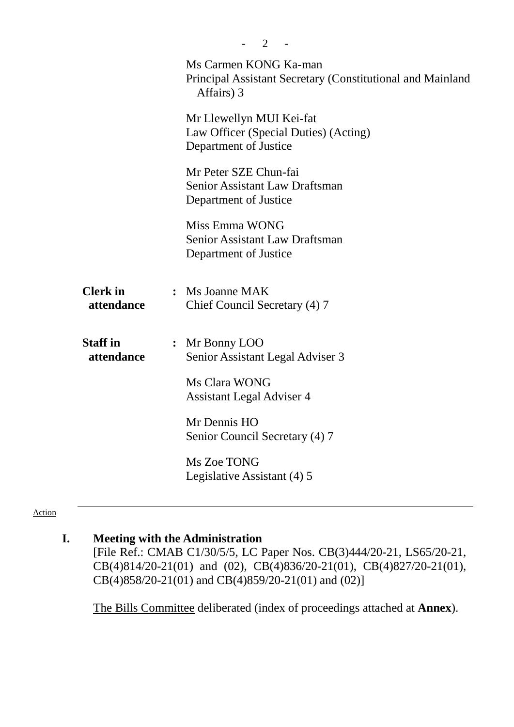|                               | $\overline{2}$                                                                                    |
|-------------------------------|---------------------------------------------------------------------------------------------------|
|                               | Ms Carmen KONG Ka-man<br>Principal Assistant Secretary (Constitutional and Mainland<br>Affairs) 3 |
|                               | Mr Llewellyn MUI Kei-fat<br>Law Officer (Special Duties) (Acting)<br>Department of Justice        |
|                               | Mr Peter SZE Chun-fai<br><b>Senior Assistant Law Draftsman</b><br>Department of Justice           |
|                               | Miss Emma WONG<br><b>Senior Assistant Law Draftsman</b><br>Department of Justice                  |
| <b>Clerk</b> in<br>attendance | : Ms Joanne MAK<br>Chief Council Secretary (4) 7                                                  |
| <b>Staff</b> in<br>attendance | Mr Bonny LOO<br>$\ddot{\bullet}$<br>Senior Assistant Legal Adviser 3                              |
|                               | Ms Clara WONG<br>Assistant Legal Adviser 4                                                        |
|                               | Mr Dennis HO<br>Senior Council Secretary (4) 7                                                    |
|                               | Ms Zoe TONG<br>Legislative Assistant (4) 5                                                        |
|                               |                                                                                                   |

#### Action

# **I. Meeting with the Administration**

[File Ref.: CMAB C1/30/5/5, LC Paper Nos. CB(3)444/20-21, LS65/20-21, CB(4)814/20-21(01) and (02), CB(4)836/20-21(01), CB(4)827/20-21(01), CB(4)858/20-21(01) and CB(4)859/20-21(01) and (02)]

1. The Bills Committee deliberated (index of proceedings attached at **Annex**).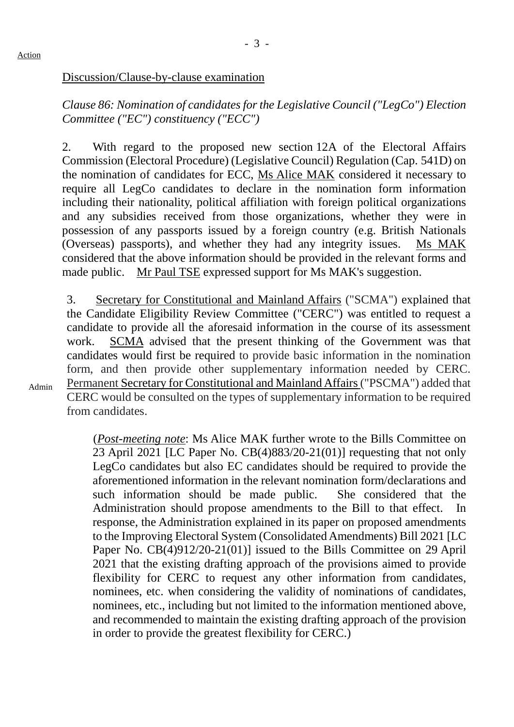Admin

#### Discussion/Clause-by-clause examination

*Clause 86: Nomination of candidates for the Legislative Council ("LegCo") Election Committee ("EC") constituency ("ECC")*

2. With regard to the proposed new section 12A of the Electoral Affairs Commission (Electoral Procedure) (Legislative Council) Regulation (Cap. 541D) on the nomination of candidates for ECC, Ms Alice MAK considered it necessary to require all LegCo candidates to declare in the nomination form information including their nationality, political affiliation with foreign political organizations and any subsidies received from those organizations, whether they were in possession of any passports issued by a foreign country (e.g. British Nationals (Overseas) passports), and whether they had any integrity issues. Ms MAK considered that the above information should be provided in the relevant forms and made public. Mr Paul TSE expressed support for Ms MAK's suggestion.

3. Secretary for Constitutional and Mainland Affairs ("SCMA") explained that the Candidate Eligibility Review Committee ("CERC") was entitled to request a candidate to provide all the aforesaid information in the course of its assessment work. SCMA advised that the present thinking of the Government was that candidates would first be required to provide basic information in the nomination form, and then provide other supplementary information needed by CERC. Permanent Secretary for Constitutional and Mainland Affairs("PSCMA") added that CERC would be consulted on the types of supplementary information to be required from candidates.

(*Post-meeting note*: Ms Alice MAK further wrote to the Bills Committee on 23 April 2021 [LC Paper No. CB(4)883/20-21(01)] requesting that not only LegCo candidates but also EC candidates should be required to provide the aforementioned information in the relevant nomination form/declarations and such information should be made public. She considered that the Administration should propose amendments to the Bill to that effect. In response, the Administration explained in its paper on proposed amendments to the Improving Electoral System (Consolidated Amendments) Bill 2021 [LC Paper No. CB(4)912/20-21(01)] issued to the Bills Committee on 29 April 2021 that the existing drafting approach of the provisions aimed to provide flexibility for CERC to request any other information from candidates, nominees, etc. when considering the validity of nominations of candidates, nominees, etc., including but not limited to the information mentioned above, and recommended to maintain the existing drafting approach of the provision in order to provide the greatest flexibility for CERC.)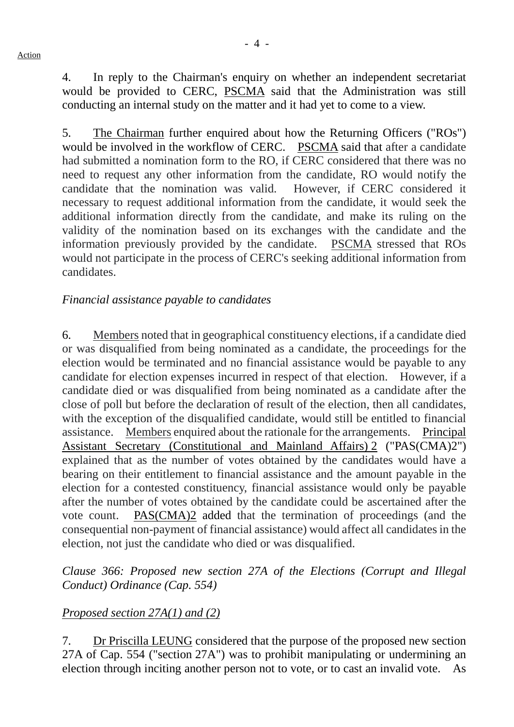4. In reply to the Chairman's enquiry on whether an independent secretariat would be provided to CERC, PSCMA said that the Administration was still conducting an internal study on the matter and it had yet to come to a view.

5. The Chairman further enquired about how the Returning Officers ("ROs") would be involved in the workflow of CERC. PSCMA said that after a candidate had submitted a nomination form to the RO, if CERC considered that there was no need to request any other information from the candidate, RO would notify the candidate that the nomination was valid. However, if CERC considered it necessary to request additional information from the candidate, it would seek the additional information directly from the candidate, and make its ruling on the validity of the nomination based on its exchanges with the candidate and the information previously provided by the candidate. PSCMA stressed that ROs would not participate in the process of CERC's seeking additional information from candidates.

### *Financial assistance payable to candidates*

6. Members noted that in geographical constituency elections, if a candidate died or was disqualified from being nominated as a candidate, the proceedings for the election would be terminated and no financial assistance would be payable to any candidate for election expenses incurred in respect of that election. However, if a candidate died or was disqualified from being nominated as a candidate after the close of poll but before the declaration of result of the election, then all candidates, with the exception of the disqualified candidate, would still be entitled to financial assistance. Members enquired about the rationale for the arrangements. Principal Assistant Secretary (Constitutional and Mainland Affairs) 2 ("PAS(CMA)2") explained that as the number of votes obtained by the candidates would have a bearing on their entitlement to financial assistance and the amount payable in the election for a contested constituency, financial assistance would only be payable after the number of votes obtained by the candidate could be ascertained after the vote count. PAS(CMA)2 added that the termination of proceedings (and the consequential non-payment of financial assistance) would affect all candidates in the election, not just the candidate who died or was disqualified.

*Clause 366: Proposed new section 27A of the Elections (Corrupt and Illegal Conduct) Ordinance (Cap. 554)*

## *Proposed section 27A(1) and (2)*

7. Dr Priscilla LEUNG considered that the purpose of the proposed new section 27A of Cap. 554 ("section 27A") was to prohibit manipulating or undermining an election through inciting another person not to vote, or to cast an invalid vote. As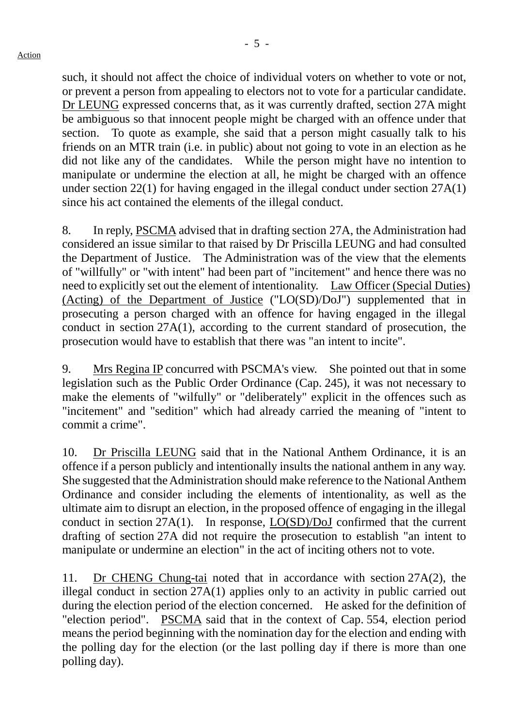such, it should not affect the choice of individual voters on whether to vote or not, or prevent a person from appealing to electors not to vote for a particular candidate. Dr LEUNG expressed concerns that, as it was currently drafted, section 27A might be ambiguous so that innocent people might be charged with an offence under that section. To quote as example, she said that a person might casually talk to his friends on an MTR train (i.e. in public) about not going to vote in an election as he did not like any of the candidates. While the person might have no intention to manipulate or undermine the election at all, he might be charged with an offence under section 22(1) for having engaged in the illegal conduct under section 27A(1) since his act contained the elements of the illegal conduct.

8. In reply, PSCMA advised that in drafting section 27A, the Administration had considered an issue similar to that raised by Dr Priscilla LEUNG and had consulted the Department of Justice. The Administration was of the view that the elements of "willfully" or "with intent" had been part of "incitement" and hence there was no need to explicitly set out the element of intentionality. Law Officer (Special Duties) (Acting) of the Department of Justice ("LO(SD)/DoJ") supplemented that in prosecuting a person charged with an offence for having engaged in the illegal conduct in section 27A(1), according to the current standard of prosecution, the prosecution would have to establish that there was "an intent to incite".

9. Mrs Regina IP concurred with PSCMA's view. She pointed out that in some legislation such as the Public Order Ordinance (Cap. 245), it was not necessary to make the elements of "wilfully" or "deliberately" explicit in the offences such as "incitement" and "sedition" which had already carried the meaning of "intent to commit a crime".

10. Dr Priscilla LEUNG said that in the National Anthem Ordinance, it is an offence if a person publicly and intentionally insults the national anthem in any way. She suggested that the Administration should make reference to the National Anthem Ordinance and consider including the elements of intentionality, as well as the ultimate aim to disrupt an election, in the proposed offence of engaging in the illegal conduct in section 27A(1). In response, LO(SD)/DoJ confirmed that the current drafting of section 27A did not require the prosecution to establish "an intent to manipulate or undermine an election" in the act of inciting others not to vote.

11. Dr CHENG Chung-tai noted that in accordance with section 27A(2), the illegal conduct in section 27A(1) applies only to an activity in public carried out during the election period of the election concerned. He asked for the definition of "election period". PSCMA said that in the context of Cap. 554, election period means the period beginning with the nomination day for the election and ending with the polling day for the election (or the last polling day if there is more than one polling day).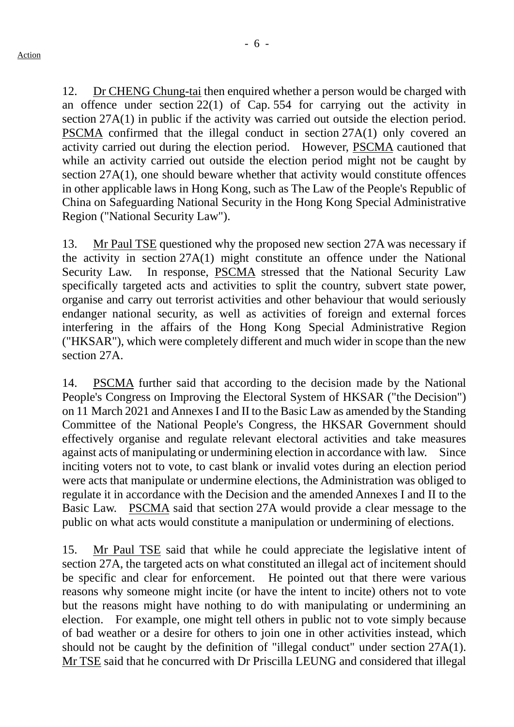12. Dr CHENG Chung-tai then enquired whether a person would be charged with an offence under section 22(1) of Cap. 554 for carrying out the activity in section 27A(1) in public if the activity was carried out outside the election period. PSCMA confirmed that the illegal conduct in section 27A(1) only covered an activity carried out during the election period. However, PSCMA cautioned that while an activity carried out outside the election period might not be caught by section 27A(1), one should beware whether that activity would constitute offences in other applicable laws in Hong Kong, such as The Law of the People's Republic of China on Safeguarding National Security in the Hong Kong Special Administrative Region ("National Security Law").

13. Mr Paul TSE questioned why the proposed new section 27A was necessary if the activity in section 27A(1) might constitute an offence under the National Security Law. In response, PSCMA stressed that the National Security Law specifically targeted acts and activities to split the country, subvert state power, organise and carry out terrorist activities and other behaviour that would seriously endanger national security, as well as activities of foreign and external forces interfering in the affairs of the Hong Kong Special Administrative Region ("HKSAR"), which were completely different and much wider in scope than the new section 27A.

14. PSCMA further said that according to the decision made by the National People's Congress on Improving the Electoral System of HKSAR ("the Decision") on 11 March 2021 and Annexes I and II to the Basic Law as amended by the Standing Committee of the National People's Congress, the HKSAR Government should effectively organise and regulate relevant electoral activities and take measures against acts of manipulating or undermining election in accordance with law. Since inciting voters not to vote, to cast blank or invalid votes during an election period were acts that manipulate or undermine elections, the Administration was obliged to regulate it in accordance with the Decision and the amended Annexes I and II to the Basic Law. PSCMA said that section 27A would provide a clear message to the public on what acts would constitute a manipulation or undermining of elections.

15. Mr Paul TSE said that while he could appreciate the legislative intent of section 27A, the targeted acts on what constituted an illegal act of incitement should be specific and clear for enforcement. He pointed out that there were various reasons why someone might incite (or have the intent to incite) others not to vote but the reasons might have nothing to do with manipulating or undermining an election. For example, one might tell others in public not to vote simply because of bad weather or a desire for others to join one in other activities instead, which should not be caught by the definition of "illegal conduct" under section 27A(1). Mr TSE said that he concurred with Dr Priscilla LEUNG and considered that illegal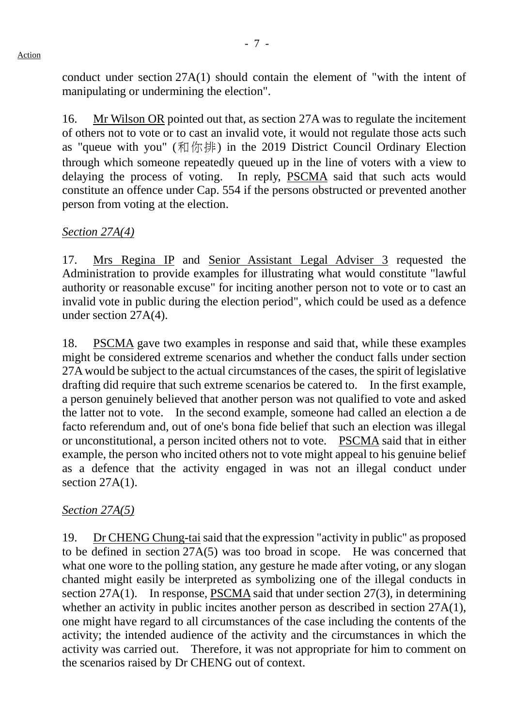conduct under section 27A(1) should contain the element of "with the intent of manipulating or undermining the election".

16. Mr Wilson OR pointed out that, as section 27A was to regulate the incitement of others not to vote or to cast an invalid vote, it would not regulate those acts such as "queue with you" (和你排) in the 2019 District Council Ordinary Election through which someone repeatedly queued up in the line of voters with a view to delaying the process of voting. In reply, PSCMA said that such acts would constitute an offence under Cap. 554 if the persons obstructed or prevented another person from voting at the election.

## *Section 27A(4)*

17. Mrs Regina IP and Senior Assistant Legal Adviser 3 requested the Administration to provide examples for illustrating what would constitute "lawful authority or reasonable excuse" for inciting another person not to vote or to cast an invalid vote in public during the election period", which could be used as a defence under section 27A(4).

18. PSCMA gave two examples in response and said that, while these examples might be considered extreme scenarios and whether the conduct falls under section 27A would be subject to the actual circumstances of the cases, the spirit of legislative drafting did require that such extreme scenarios be catered to. In the first example, a person genuinely believed that another person was not qualified to vote and asked the latter not to vote. In the second example, someone had called an election a de facto referendum and, out of one's bona fide belief that such an election was illegal or unconstitutional, a person incited others not to vote. PSCMA said that in either example, the person who incited others not to vote might appeal to his genuine belief as a defence that the activity engaged in was not an illegal conduct under section  $27A(1)$ .

### *Section 27A(5)*

19. Dr CHENG Chung-tai said that the expression "activity in public" as proposed to be defined in section 27A(5) was too broad in scope. He was concerned that what one wore to the polling station, any gesture he made after voting, or any slogan chanted might easily be interpreted as symbolizing one of the illegal conducts in section 27A(1). In response, PSCMA said that under section 27(3), in determining whether an activity in public incites another person as described in section 27A(1), one might have regard to all circumstances of the case including the contents of the activity; the intended audience of the activity and the circumstances in which the activity was carried out. Therefore, it was not appropriate for him to comment on the scenarios raised by Dr CHENG out of context.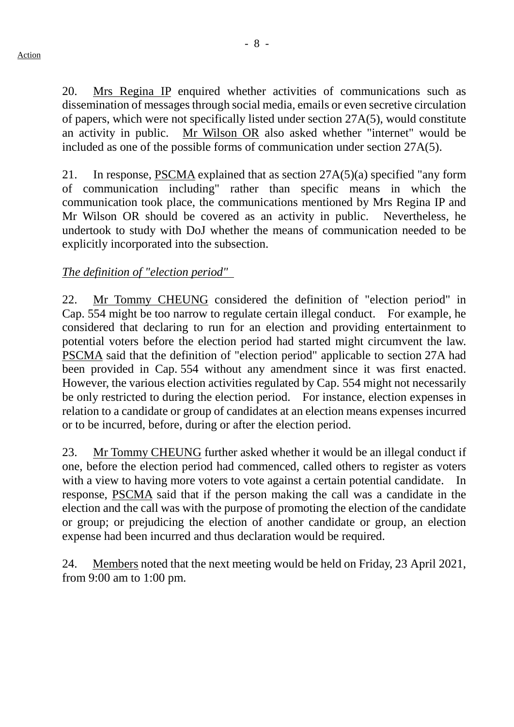20. Mrs Regina IP enquired whether activities of communications such as dissemination of messages through social media, emails or even secretive circulation of papers, which were not specifically listed under section 27A(5), would constitute an activity in public. Mr Wilson OR also asked whether "internet" would be included as one of the possible forms of communication under section 27A(5).

21. In response, PSCMA explained that as section 27A(5)(a) specified "any form of communication including" rather than specific means in which the communication took place, the communications mentioned by Mrs Regina IP and Mr Wilson OR should be covered as an activity in public. Nevertheless, he undertook to study with DoJ whether the means of communication needed to be explicitly incorporated into the subsection.

### *The definition of "election period"*

22. Mr Tommy CHEUNG considered the definition of "election period" in Cap. 554 might be too narrow to regulate certain illegal conduct. For example, he considered that declaring to run for an election and providing entertainment to potential voters before the election period had started might circumvent the law. PSCMA said that the definition of "election period" applicable to section 27A had been provided in Cap. 554 without any amendment since it was first enacted. However, the various election activities regulated by Cap. 554 might not necessarily be only restricted to during the election period. For instance, election expenses in relation to a candidate or group of candidates at an election means expenses incurred or to be incurred, before, during or after the election period.

23. Mr Tommy CHEUNG further asked whether it would be an illegal conduct if one, before the election period had commenced, called others to register as voters with a view to having more voters to vote against a certain potential candidate. In response, PSCMA said that if the person making the call was a candidate in the election and the call was with the purpose of promoting the election of the candidate or group; or prejudicing the election of another candidate or group, an election expense had been incurred and thus declaration would be required.

24. Members noted that the next meeting would be held on Friday, 23 April 2021, from 9:00 am to 1:00 pm.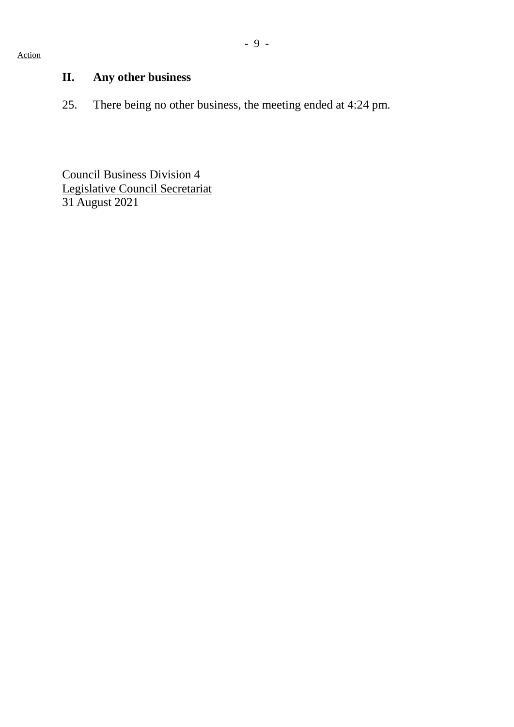#### Action

# **II. Any other business**

25. There being no other business, the meeting ended at 4:24 pm.

Council Business Division 4 Legislative Council Secretariat 31 August 2021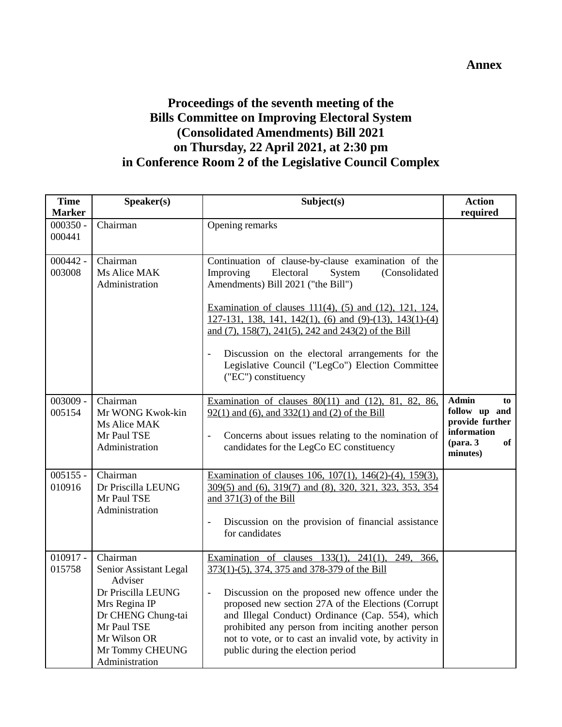### **Annex**

# **Proceedings of the seventh meeting of the Bills Committee on Improving Electoral System (Consolidated Amendments) Bill 2021 on Thursday, 22 April 2021, at 2:30 pm in Conference Room 2 of the Legislative Council Complex**

| <b>Time</b><br><b>Marker</b> | Speaker(s)                                                                                                                                                                     | Subject(s)                                                                                                                                                                                                                                                                                                                                                                                                                                                                            | <b>Action</b><br>required                                                                                      |
|------------------------------|--------------------------------------------------------------------------------------------------------------------------------------------------------------------------------|---------------------------------------------------------------------------------------------------------------------------------------------------------------------------------------------------------------------------------------------------------------------------------------------------------------------------------------------------------------------------------------------------------------------------------------------------------------------------------------|----------------------------------------------------------------------------------------------------------------|
| $000350 -$<br>000441         | Chairman                                                                                                                                                                       | Opening remarks                                                                                                                                                                                                                                                                                                                                                                                                                                                                       |                                                                                                                |
| $000442 -$<br>003008         | Chairman<br>Ms Alice MAK<br>Administration                                                                                                                                     | Continuation of clause-by-clause examination of the<br>Improving<br>Electoral<br>System<br>(Consolidated<br>Amendments) Bill 2021 ("the Bill")<br>Examination of clauses 111(4), (5) and (12), 121, 124,<br>127-131, 138, 141, 142(1), (6) and (9)-(13), 143(1)-(4)<br>and (7), 158(7), 241(5), 242 and 243(2) of the Bill<br>Discussion on the electoral arrangements for the<br>$\overline{\phantom{a}}$<br>Legislative Council ("LegCo") Election Committee<br>("EC") constituency |                                                                                                                |
| $003009 -$<br>005154         | Chairman<br>Mr WONG Kwok-kin<br>Ms Alice MAK<br>Mr Paul TSE<br>Administration                                                                                                  | Examination of clauses $80(11)$ and $(12)$ , $81$ , $82$ , $86$ ,<br>$92(1)$ and (6), and 332(1) and (2) of the Bill<br>Concerns about issues relating to the nomination of<br>$\overline{\phantom{a}}$<br>candidates for the LegCo EC constituency                                                                                                                                                                                                                                   | <b>Admin</b><br>to<br>follow up and<br>provide further<br>information<br>$(\text{para. } 3)$<br>of<br>minutes) |
| $005155 -$<br>010916         | Chairman<br>Dr Priscilla LEUNG<br>Mr Paul TSE<br>Administration                                                                                                                | Examination of clauses 106, 107(1), 146(2)-(4), 159(3),<br>309(5) and (6), 319(7) and (8), 320, 321, 323, 353, 354<br>and $371(3)$ of the Bill<br>Discussion on the provision of financial assistance<br>$\overline{a}$<br>for candidates                                                                                                                                                                                                                                             |                                                                                                                |
| $010917 -$<br>015758         | Chairman<br>Senior Assistant Legal<br>Adviser<br>Dr Priscilla LEUNG<br>Mrs Regina IP<br>Dr CHENG Chung-tai<br>Mr Paul TSE<br>Mr Wilson OR<br>Mr Tommy CHEUNG<br>Administration | Examination of clauses $133(1)$ , $241(1)$ , $249$ ,<br>366,<br>373(1)-(5), 374, 375 and 378-379 of the Bill<br>Discussion on the proposed new offence under the<br>$\overline{\phantom{a}}$<br>proposed new section 27A of the Elections (Corrupt<br>and Illegal Conduct) Ordinance (Cap. 554), which<br>prohibited any person from inciting another person<br>not to vote, or to cast an invalid vote, by activity in<br>public during the election period                          |                                                                                                                |